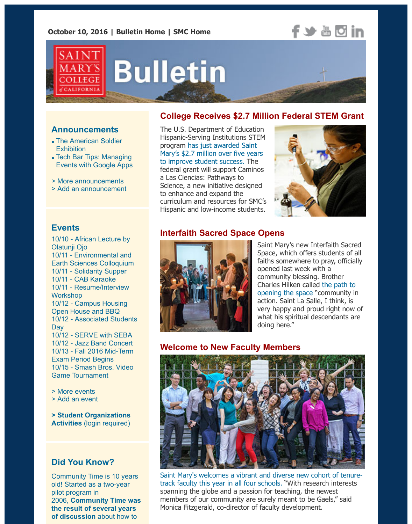## **f** > a d in



# **Bulletin**

#### **College Receives \$2.7 Million Federal STEM Grant**

#### **Announcements**

- [The American Soldier](http://www.stmarys-ca.edu/the-american-soldier-and-saint-marys-college?utm_source=Bulletin&utm_medium=email&utm_content=announcement_test&utm_campaign=10-10-2016) **Exhibition**
- Tech Bar Tips: Managing [Events with Google Apps](http://www.stmarys-ca.edu/tech-bar-tips-managing-events-with-google-apps-1?utm_source=Bulletin&utm_medium=email&utm_content=announcement_test&utm_campaign=10-10-2016)
- [> More announcements](http://www.stmarys-ca.edu/smc-bulletin/announcements?utm_source=Bulletin&utm_medium=email&utm_content=announcement_test&utm_campaign=10-10-2016)
- [> Add an announcement](http://www.stmarys-ca.edu/node/add/announcement?utm_source=Bulletin&utm_medium=email&utm_content=announcement_test&utm_campaign=10-10-2016)

#### The U.S. Department of Education Hispanic-Serving Institutions STEM program has just awarded Saint [Mary's \\$2.7 million over five years](http://www.stmarys-ca.edu/smc-receives-27-million-hsi-federal-grant-to-expand-stem-education-opportunities?utm_source=Bulletin&utm_medium=email&utm_content=feature_test&utm_campaign=10-10-2016) to improve student success. The federal grant will support Caminos a Las Ciencias: Pathways to Science, a new initiative designed to enhance and expand the curriculum and resources for SMC's Hispanic and low-income students.



#### **Events**

[10/10 - African Lecture by](http://www.stmarys-ca.edu/lecture-dr-olatunji-ojo-associate-professor-of-history-at-brock-university-st-catharines-canada-will?utm_source=Bulletin&utm_medium=email&utm_content=event_test&utm_campaign=10-10-2016) Olatunji Ojo 10/11 - Environmental and [Earth Sciences Colloquium](http://www.stmarys-ca.edu/environmental-and-earth-sciences-fall-2016-colloquium?utm_source=Bulletin&utm_medium=email&utm_content=event_test&utm_campaign=10-10-2016) 10/11 - [Solidarity Supper](http://www.stmarys-ca.edu/solidarity-supper-0?utm_source=Bulletin&utm_medium=email&utm_content=event_test&utm_campaign=10-10-2016) 10/11 - [CAB Karaoke](http://www.stmarys-ca.edu/cab-karaoke?utm_source=Bulletin&utm_medium=email&utm_content=event_test&utm_campaign=10-10-2016) [10/11 - Resume/Interview](http://www.stmarys-ca.edu/resumeinterview-workshop-0?utm_source=Bulletin&utm_medium=email&utm_content=event_test&utm_campaign=10-10-2016) **Workshop** [10/12 - Campus Housing](http://www.stmarys-ca.edu/sneak-a-peak-campus-housing-open-house-and-community-bbq?utm_source=Bulletin&utm_medium=email&utm_content=event_test&utm_campaign=10-10-2016) Open House and BBQ [10/12 - Associated Students](http://www.stmarys-ca.edu/as-day-fall-2016?utm_source=Bulletin&utm_medium=email&utm_content=event_test&utm_campaign=10-10-2016) **Day** 10/12 - [SERVE with SEBA](http://www.stmarys-ca.edu/serve-with-seba?utm_source=Bulletin&utm_medium=email&utm_content=event_test&utm_campaign=10-10-2016) 10/12 - [Jazz Band Concert](http://www.stmarys-ca.edu/jazz-band-concert-2016?utm_source=Bulletin&utm_medium=email&utm_content=event_test&utm_campaign=10-10-2016) [10/13 - Fall 2016 Mid-Term](http://www.stmarys-ca.edu/fall-2016-mid-term-exam-period?utm_source=Bulletin&utm_medium=email&utm_content=event_test&utm_campaign=10-10-2016) Exam Period Begins [10/15 - Smash Bros. Video](http://www.stmarys-ca.edu/smash-bros-video-game-tournament?utm_source=Bulletin&utm_medium=email&utm_content=event_test&utm_campaign=10-10-2016) Game Tournament

[> More events](http://www.stmarys-ca.edu/events?utm_source=Bulletin&utm_medium=email&utm_content=event_test&utm_campaign=10-10-2016)

[> Add an event](http://www.stmarys-ca.edu/node/add/calendar-event?utm_source=Bulletin&utm_medium=email&utm_content=event_test&utm_campaign=10-10-2016)

**[> Student Organizations](https://stmarys-ca-community.symplicity.com/) Activities** (login required)

#### **Did You Know?**

Community Time is 10 years old! Started as a two-year pilot program in 2006, **Community Time was [the result of several years](http://www.stmarys-ca.edu/office-of-scheduling-and-special-events/scheduling-resources/request-an-event-space/community-time?utm_source=Bulletin&utm_medium=email&utm_content=sidebar_test&utm_campaign=10-10-2016) of discussion** about how to

#### **Interfaith Sacred Space Opens**



Saint Mary's new Interfaith Sacred Space, which offers students of all faiths somewhere to pray, officially opened last week with a community blessing. Brother [Charles Hilken called the path to](http://www.stmarys-ca.edu/making-room-for-prayer-0?utm_source=Bulletin&utm_medium=email&utm_content=feature_test&utm_campaign=10-10-2016) opening the space "community in action. Saint La Salle, I think, is very happy and proud right now of what his spiritual descendants are doing here."

#### **Welcome to New Faculty Members**



[Saint Mary's welcomes a vibrant and diverse new cohort of tenure](http://www.stmarys-ca.edu/new-faculty-2016-17?utm_source=Bulletin&utm_medium=email&utm_content=feature_test&utm_campaign=10-10-2016)track faculty this year in all four schools. "With research interests spanning the globe and a passion for teaching, the newest members of our community are surely meant to be Gaels," said Monica Fitzgerald, co-director of faculty development.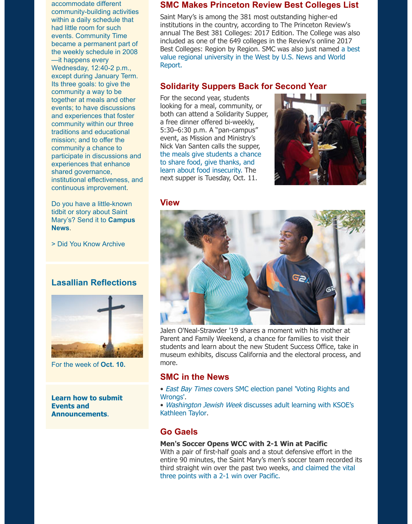accommodate different community-building activities within a daily schedule that had little room for such events. Community Time became a permanent part of the weekly schedule in 2008 —it happens every Wednesday, 12:40-2 p.m., except during January Term. Its three goals: to give the community a way to be together at meals and other events; to have discussions and experiences that foster community within our three traditions and educational mission; and to offer the community a chance to participate in discussions and experiences that enhance shared governance, institutional effectiveness, and continuous improvement.

Do you have a little-known tidbit or story about Saint [Mary's? Send it to](mailto:news@stmarys-ca.edu) **Campus News**.

[> Did You Know Archive](http://www.stmarys-ca.edu/smc-bulletin/did-you-know-0?utm_source=Bulletin&utm_medium=email&utm_content=sidebar_test&utm_campaign=10-10-2016)

#### **Lasallian Reflections**



For the week of **[Oct. 10.](http://www.stmarys-ca.edu/living-lasallian/lasallian-reflections?utm_source=Bulletin&utm_medium=email&utm_content=sidebar_test&utm_campaign=10-10-2016)**

**[Learn how to submit](http://www.stmarys-ca.edu/smc-bulletin/faqs?utm_source=Bulletin&utm_medium=email&utm_content=sidebar_test&utm_campaign=10-10-2016) Events and Announcements**.

#### **SMC Makes Princeton Review Best Colleges List**

Saint Mary's is among the 381 most outstanding higher-ed institutions in the country, according to The Princeton Review's annual The Best 381 Colleges: 2017 Edition. The College was also included as one of the 649 colleges in the Review's online 2017 [Best Colleges: Region by Region. SMC was also just named a best](http://www.usnews.com/education/best-colleges/features/badge-eligible-colleges#best-value--regional-universities-west) value regional university in the West by U.S. News and World Report.

#### **Solidarity Suppers Back for Second Year**

For the second year, students looking for a meal, community, or both can attend a Solidarity Supper, a free dinner offered bi-weekly, 5:30–6:30 p.m. A "pan-campus" event, as Mission and Ministry's Nick Van Santen calls the supper, [the meals give students a chance](http://www.stmarys-ca.edu/solidarity-suppers-back-for-second-year?utm_source=Bulletin&utm_medium=email&utm_content=feature_test&utm_campaign=10-10-2016) to share food, give thanks, and learn about food insecurity. The next supper is Tuesday, Oct. 11.



#### **View**



Jalen O'Neal-Strawder '19 shares a moment with his mother at Parent and Family Weekend, a chance for families to visit their students and learn about the new Student Success Office, take in museum exhibits, discuss California and the electoral process, and more.

#### **SMC in the News**

• East Bay Times [covers SMC election panel 'Voting Rights and](http://www.stmarys-ca.edu/east-bay-times-covers-smc-election-panel-voting-rights-and-wrongs?utm_source=Bulletin&utm_medium=email&utm_content=feature_test&utm_campaign=10-10-2016) Wrongs'.

• Washington Jewish Week [discusses adult learning with KSOE's](http://www.stmarys-ca.edu/washington-jewish-week-discusses-adult-learning-with-ksoe%E2%80%99s-kathleen-taylor?utm_source=Bulletin&utm_medium=email&utm_content=feature_test&utm_campaign=10-10-2016) Kathleen Taylor.

#### **Go Gaels**

#### **Men's Soccer Opens WCC with 2-1 Win at Pacific**

With a pair of first-half goals and a stout defensive effort in the entire 90 minutes, the Saint Mary's men's soccer team recorded its [third straight win over the past two weeks, and claimed the vital](http://www.smcgaels.com/ViewArticle.dbml?DB_OEM_ID=21400&ATCLID=211218408) three points with a 2-1 win over Pacific.